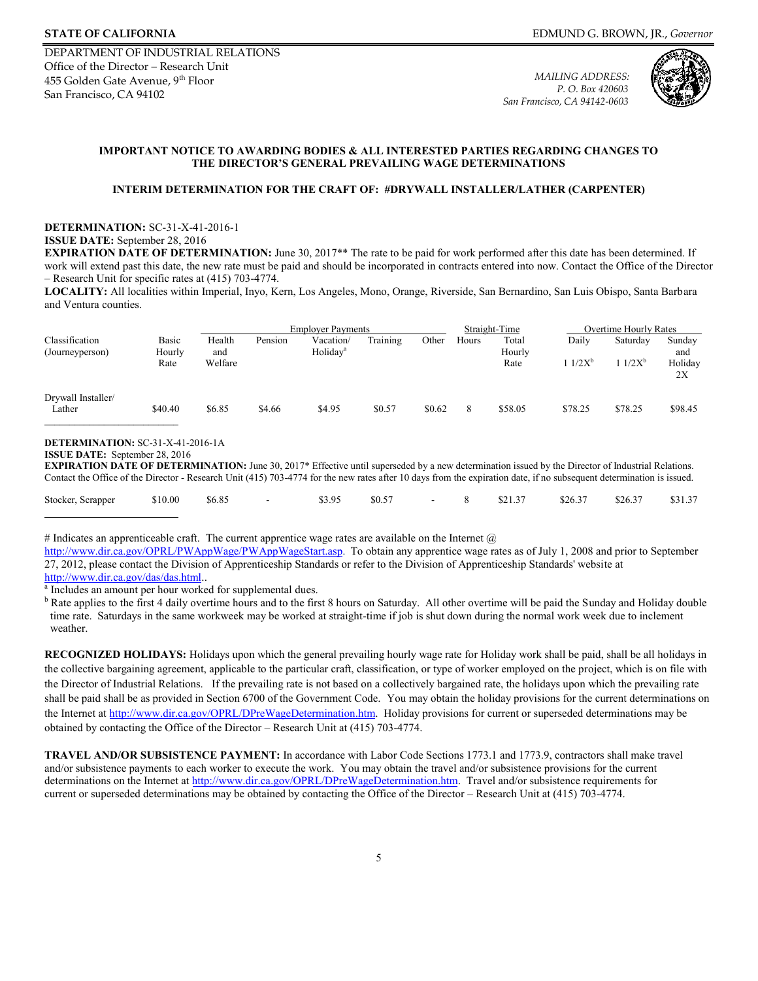

## **IMPORTANT NOTICE TO AWARDING BODIES & ALL INTERESTED PARTIES REGARDING CHANGES TO THE DIRECTOR'S GENERAL PREVAILING WAGE DETERMINATIONS**

### **INTERIM DETERMINATION FOR THE CRAFT OF: #DRYWALL INSTALLER/LATHER (CARPENTER)**

### **DETERMINATION:** SC-31-X-41-2016-1 **ISSUE DATE:** September 28, 2016

 **EXPIRATION DATE OF DETERMINATION:** June 30, 2017\*\* The rate to be paid for work performed after this date has been determined. If work will extend past this date, the new rate must be paid and should be incorporated in contracts entered into now. Contact the Office of the Director – Research Unit for specific rates at (415) 703-4774.

**LOCALITY:** All localities within Imperial, Inyo, Kern, Los Angeles, Mono, Orange, Riverside, San Bernardino, San Luis Obispo, Santa Barbara and Ventura counties.

|                                   |                 | <b>Employer Payments</b> |         |                                   |          |        | Straight-Time |                 | Overtime Hourly Rates |          |               |
|-----------------------------------|-----------------|--------------------------|---------|-----------------------------------|----------|--------|---------------|-----------------|-----------------------|----------|---------------|
| Classification<br>(Journeyperson) | Basic<br>Hourly | Health<br>and            | Pension | Vacation/<br>Holiday <sup>a</sup> | Training | Other  | Hours         | Total<br>Hourly | Daily                 | Saturday | Sunday<br>and |
|                                   | Rate            | Welfare                  |         |                                   |          |        |               | Rate            | $11/2X^b$             | $1/2X^b$ | Holiday<br>2X |
| Drywall Installer/<br>Lather      | \$40.40         | \$6.85                   | \$4.66  | \$4.95                            | \$0.57   | \$0.62 | 8             | \$58.05         | \$78.25               | \$78.25  | \$98.45       |

# **DETERMINATION:** SC-31-X-41-2016-1A

**EXPIRATION DATE OF DETERMINATION:** June 30, 2017\* Effective until superseded by a new determination issued by the Director of Industrial Relations. Contact the Office of the Director - Research Unit (415) 703-4774 for the new rates after 10 days from the expiration date, if no subsequent determination is issued.

| Stocker, Scrapper \$10.00 \$6.85 - \$3.95 \$0.57 - 8 \$21.37 \$26.37 \$26.37 \$31.37 |  |  |  |  |  |
|--------------------------------------------------------------------------------------|--|--|--|--|--|
|--------------------------------------------------------------------------------------|--|--|--|--|--|

# Indicates an apprenticeable craft. The current apprentice wage rates are available on the Internet  $@$ 

[http://www.dir.ca.gov/OPRL/PWAppWage/PWAppWageStart.asp.](http://www.dir.ca.gov/OPRL/PWAppWage/PWAppWageStart.asp) To obtain any apprentice wage rates as of July 1, 2008 and prior to September 27, 2012, please contact the Division of Apprenticeship Standards or refer to the Division of Apprenticeship Standards' website at

<u>http://www.dir.ca.gov/das/das.html</u>..<br><sup>a</sup> Includes an amount per hour worked for supplemental dues.

<sup>b</sup> Rate applies to the first 4 daily overtime hours and to the first 8 hours on Saturday. All other overtime will be paid the Sunday and Holiday double time rate. Saturdays in the same workweek may be worked at straight-time if job is shut down during the normal work week due to inclement weather.

**RECOGNIZED HOLIDAYS:** Holidays upon which the general prevailing hourly wage rate for Holiday work shall be paid, shall be all holidays in the collective bargaining agreement, applicable to the particular craft, classification, or type of worker employed on the project, which is on file with the Director of Industrial Relations. If the prevailing rate is not based on a collectively bargained rate, the holidays upon which the prevailing rate shall be paid shall be as provided in Section 6700 of the Government Code. You may obtain the holiday provisions for the current determinations on the Internet at [http://www.dir.ca.gov/OPRL/DPreW](http://www.dir.ca.gov/OPRL/PWD)ageDetermination.htm. Holiday provisions for current or superseded determinations may be obtained by contacting the Office of the Director – Research Unit at (415) 703-4774.

**TRAVEL AND/OR SUBSISTENCE PAYMENT:** In accordance with Labor Code Sections 1773.1 and 1773.9, contractors shall make travel and/or subsistence payments to each worker to execute the work. You may obtain the travel and/or subsistence provisions for the current determinations on the Internet at [http://www.dir.ca.gov/OPRL/DPreW](http://www.dir.ca.gov/OPRL/PWD)ageDetermination.htm. Travel and/or subsistence requirements for current or superseded determinations may be obtained by contacting the Office of the Director – Research Unit at (415) 703-4774.

**ISSUE DATE:** September 28, 2016